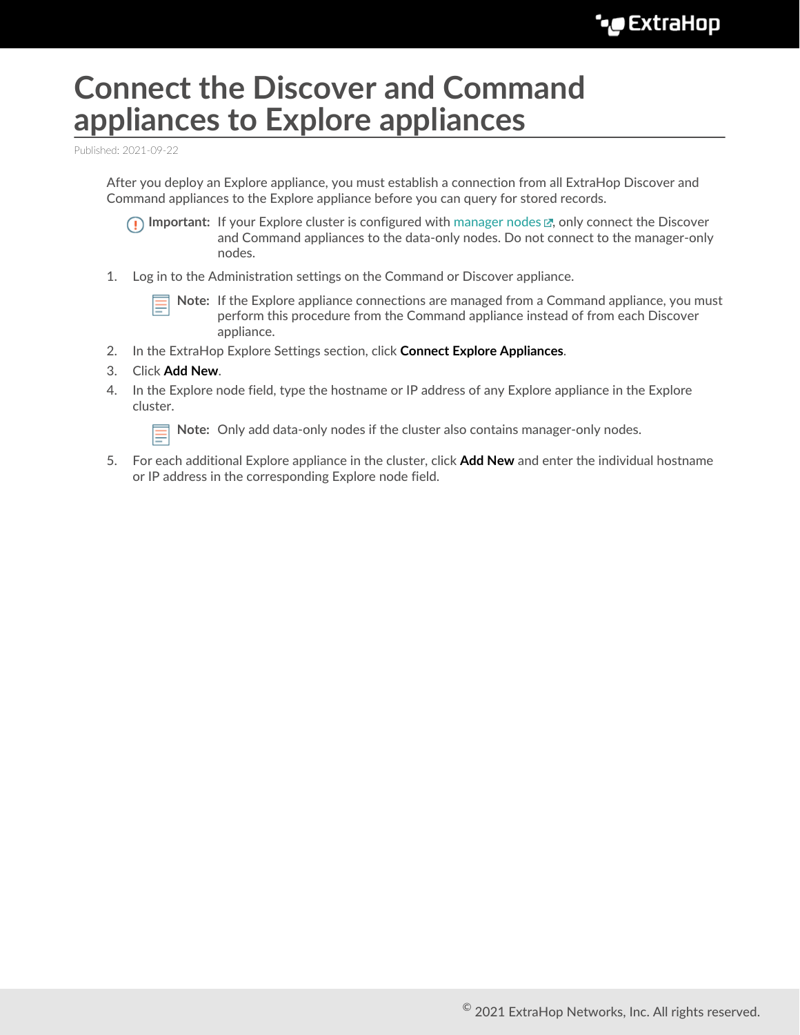## **Connect the Discover and Command appliances to Explore appliances**

Published: 2021-09-22

After you deploy an Explore appliance, you must establish a connection from all ExtraHop Discover and Command appliances to the Explore appliance before you can query for stored records.

**Important:** If your Explore cluster is configured with manager nodes  $\mathbb{Z}$ , only connect the Discover and Command appliances to the data-only nodes. Do not connect to the manager-only nodes.

1. Log in to the Administration settings on the Command or Discover appliance.

**Note:** If the Explore appliance connections are managed from a Command appliance, you must perform this procedure from the Command appliance instead of from each Discover appliance.

- 2. In the ExtraHop Explore Settings section, click **Connect Explore Appliances**.
- 3. Click **Add New**.
- 4. In the Explore node field, type the hostname or IP address of any Explore appliance in the Explore cluster.

**Note:** Only add data-only nodes if the cluster also contains manager-only nodes.

5. For each additional Explore appliance in the cluster, click **Add New** and enter the individual hostname or IP address in the corresponding Explore node field.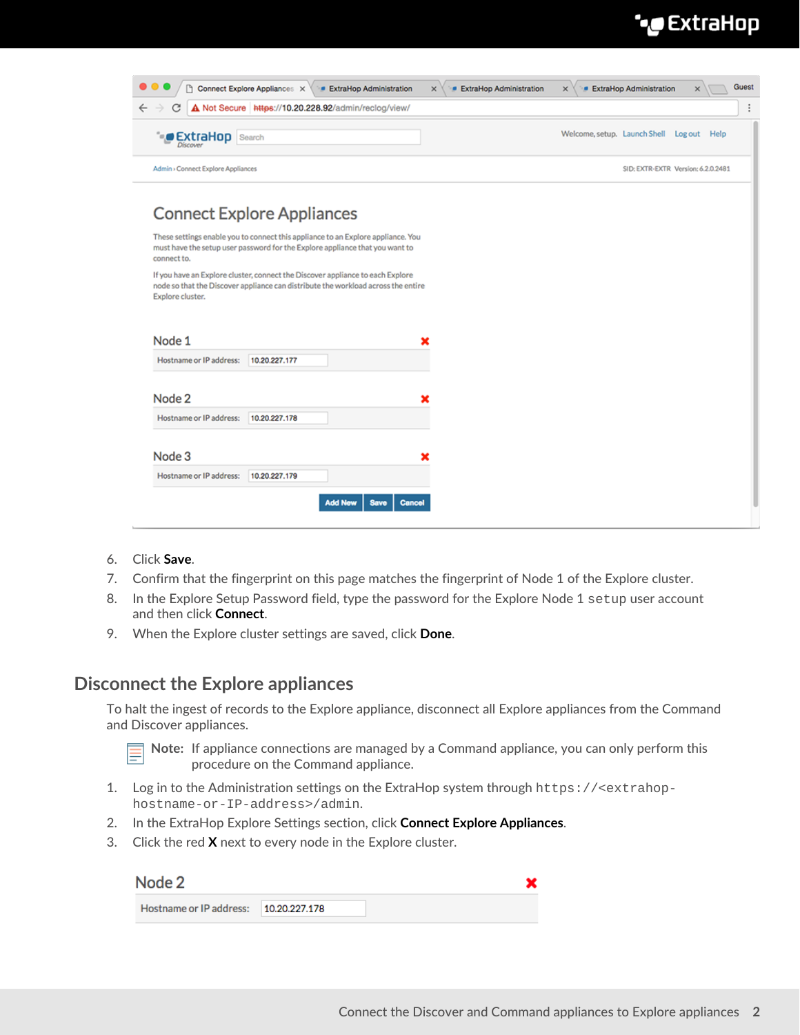## °€xtraHop •

| $\leftarrow$<br>С<br>$\rightarrow$<br><b>ExtraHop</b> Search<br>ъ.                                                                                                                      |               | A Not Secure https://10.20.228.92/admin/reclog/view/ |  | Welcome, setup. Launch Shell Log out Help |                                    |
|-----------------------------------------------------------------------------------------------------------------------------------------------------------------------------------------|---------------|------------------------------------------------------|--|-------------------------------------------|------------------------------------|
| Admin > Connect Explore Appliances                                                                                                                                                      |               |                                                      |  |                                           | SID: EXTR-EXTR Version: 6.2.0.2481 |
| <b>Connect Explore Appliances</b>                                                                                                                                                       |               |                                                      |  |                                           |                                    |
| These settings enable you to connect this appliance to an Explore appliance. You<br>must have the setup user password for the Explore appliance that you want to<br>connect to.         |               |                                                      |  |                                           |                                    |
|                                                                                                                                                                                         |               |                                                      |  |                                           |                                    |
| If you have an Explore cluster, connect the Discover appliance to each Explore<br>node so that the Discover appliance can distribute the workload across the entire<br>Explore cluster. |               |                                                      |  |                                           |                                    |
| Node 1                                                                                                                                                                                  |               |                                                      |  |                                           |                                    |
| Hostname or IP address:                                                                                                                                                                 | 10.20.227.177 |                                                      |  |                                           |                                    |
| Node 2                                                                                                                                                                                  |               |                                                      |  |                                           |                                    |
| Hostname or IP address:                                                                                                                                                                 | 10.20.227.178 |                                                      |  |                                           |                                    |
| Node 3                                                                                                                                                                                  |               |                                                      |  |                                           |                                    |

- 6. Click **Save**.
- 7. Confirm that the fingerprint on this page matches the fingerprint of Node 1 of the Explore cluster.
- 8. In the Explore Setup Password field, type the password for the Explore Node 1 setup user account and then click **Connect**.
- 9. When the Explore cluster settings are saved, click **Done**.

## **Disconnect the Explore appliances**

To halt the ingest of records to the Explore appliance, disconnect all Explore appliances from the Command and Discover appliances.



**Note:** If appliance connections are managed by a Command appliance, you can only perform this procedure on the Command appliance.

- 1. Log in to the Administration settings on the ExtraHop system through https://<extrahophostname-or-IP-address>/admin.
- 2. In the ExtraHop Explore Settings section, click **Connect Explore Appliances**.
- 3. Click the red **X** next to every node in the Explore cluster.

| Node 2                                |  |
|---------------------------------------|--|
| Hostname or IP address: 10.20.227.178 |  |